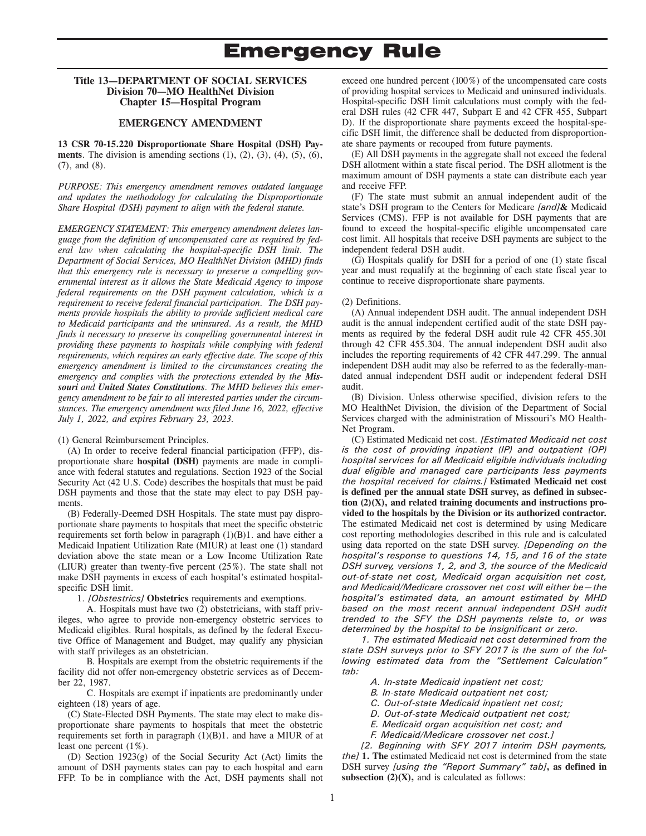#### **Title 13—DEPARTMENT OF SOCIAL SERVICES Division 70—MO HealthNet Division Chapter 15—Hospital Program**

#### **EMERGENCY AMENDMENT**

**13 CSR 70-15.220 Disproportionate Share Hospital (DSH) Payments**. The division is amending sections  $(1)$ ,  $(2)$ ,  $(3)$ ,  $(4)$ ,  $(5)$ ,  $(6)$ , (7), and (8).

*PURPOSE: This emergency amendment removes outdated language and updates the methodology for calculating the Disproportionate Share Hospital (DSH) payment to align with the federal statute.* 

*EMERGENCY STATEMENT: This emergency amendment deletes language from the definition of uncompensated care as required by federal law when calculating the hospital-specific DSH limit. The Department of Social Services, MO HealthNet Division (MHD) finds that this emergency rule is necessary to preserve a compelling governmental interest as it allows the State Medicaid Agency to impose federal requirements on the DSH payment calculation, which is a requirement to receive federal financial participation. The DSH payments provide hospitals the ability to provide sufficient medical care to Medicaid participants and the uninsured. As a result, the MHD finds it necessary to preserve its compelling governmental interest in providing these payments to hospitals while complying with federal requirements, which requires an early effective date. The scope of this emergency amendment is limited to the circumstances creating the emergency and complies with the protections extended by the Missouri and United States Constitutions. The MHD believes this emergency amendment to be fair to all interested parties under the circumstances. The emergency amendment was filed June 16, 2022, effective July 1, 2022, and expires February 23, 2023.* 

#### (1) General Reimbursement Principles.

(A) In order to receive federal financial participation (FFP), disproportionate share **hospital (DSH)** payments are made in compliance with federal statutes and regulations. Section 1923 of the Social Security Act (42 U.S. Code) describes the hospitals that must be paid DSH payments and those that the state may elect to pay DSH payments.

(B) Federally-Deemed DSH Hospitals. The state must pay disproportionate share payments to hospitals that meet the specific obstetric requirements set forth below in paragraph (1)(B)1. and have either a Medicaid Inpatient Utilization Rate (MIUR) at least one (1) standard deviation above the state mean or a Low Income Utilization Rate (LIUR) greater than twenty-five percent (25%). The state shall not make DSH payments in excess of each hospital's estimated hospitalspecific DSH limit.

1. *[Obstestrics]* **Obstetrics** requirements and exemptions.

A. Hospitals must have two (2) obstetricians, with staff privileges, who agree to provide non-emergency obstetric services to Medicaid eligibles. Rural hospitals, as defined by the federal Executive Office of Management and Budget, may qualify any physician with staff privileges as an obstetrician.

B. Hospitals are exempt from the obstetric requirements if the facility did not offer non-emergency obstetric services as of December 22, 1987.

C. Hospitals are exempt if inpatients are predominantly under eighteen (18) years of age.

(C) State-Elected DSH Payments. The state may elect to make disproportionate share payments to hospitals that meet the obstetric requirements set forth in paragraph (1)(B)1. and have a MIUR of at least one percent (1%).

(D) Section 1923(g) of the Social Security Act (Act) limits the amount of DSH payments states can pay to each hospital and earn FFP. To be in compliance with the Act, DSH payments shall not

exceed one hundred percent (100%) of the uncompensated care costs of providing hospital services to Medicaid and uninsured individuals. Hospital-specific DSH limit calculations must comply with the federal DSH rules (42 CFR 447, Subpart E and 42 CFR 455, Subpart D). If the disproportionate share payments exceed the hospital-specific DSH limit, the difference shall be deducted from disproportionate share payments or recouped from future payments.

(E) All DSH payments in the aggregate shall not exceed the federal DSH allotment within a state fiscal period. The DSH allotment is the maximum amount of DSH payments a state can distribute each year and receive FFP.

(F) The state must submit an annual independent audit of the state's DSH program to the Centers for Medicare *[and]***&** Medicaid Services (CMS). FFP is not available for DSH payments that are found to exceed the hospital-specific eligible uncompensated care cost limit. All hospitals that receive DSH payments are subject to the independent federal DSH audit.

(G) Hospitals qualify for DSH for a period of one (1) state fiscal year and must requalify at the beginning of each state fiscal year to continue to receive disproportionate share payments.

#### (2) Definitions.

(A) Annual independent DSH audit. The annual independent DSH audit is the annual independent certified audit of the state DSH payments as required by the federal DSH audit rule 42 CFR 455.301 through 42 CFR 455.304. The annual independent DSH audit also includes the reporting requirements of 42 CFR 447.299. The annual independent DSH audit may also be referred to as the federally-mandated annual independent DSH audit or independent federal DSH audit.

(B) Division. Unless otherwise specified, division refers to the MO HealthNet Division, the division of the Department of Social Services charged with the administration of Missouri's MO Health-Net Program.

(C) Estimated Medicaid net cost. *[Estimated Medicaid net cost is the cost of providing inpatient (IP) and outpatient (OP) hospital services for all Medicaid eligible individuals including dual eligible and managed care participants less payments the hospital received for claims.]* **Estimated Medicaid net cost is defined per the annual state DSH survey, as defined in subsection (2)(X), and related training documents and instructions provided to the hospitals by the Division or its authorized contractor.**  The estimated Medicaid net cost is determined by using Medicare cost reporting methodologies described in this rule and is calculated using data reported on the state DSH survey. *[Depending on the hospital's response to questions 14, 15, and 16 of the state DSH survey, versions 1, 2, and 3, the source of the Medicaid out-of-state net cost, Medicaid organ acquisition net cost, and Medicaid/Medicare crossover net cost will either be—the hospital's estimated data, an amount estimated by MHD based on the most recent annual independent DSH audit trended to the SFY the DSH payments relate to, or was determined by the hospital to be insignificant or zero.* 

*1. The estimated Medicaid net cost determined from the state DSH surveys prior to SFY 2017 is the sum of the following estimated data from the "Settlement Calculation" tab:* 

- *A. In-state Medicaid inpatient net cost;*
- *B. In-state Medicaid outpatient net cost;*
- *C. Out-of-state Medicaid inpatient net cost;*
- *D. Out-of-state Medicaid outpatient net cost;*
- *E. Medicaid organ acquisition net cost; and*
- *F. Medicaid/Medicare crossover net cost.]*

*[2. Beginning with SFY 2017 interim DSH payments, the]* **1. The** estimated Medicaid net cost is determined from the state DSH survey *[using the "Report Summary" tab]***, as defined in subsection**  $(2)(X)$ **, and is calculated as follows:**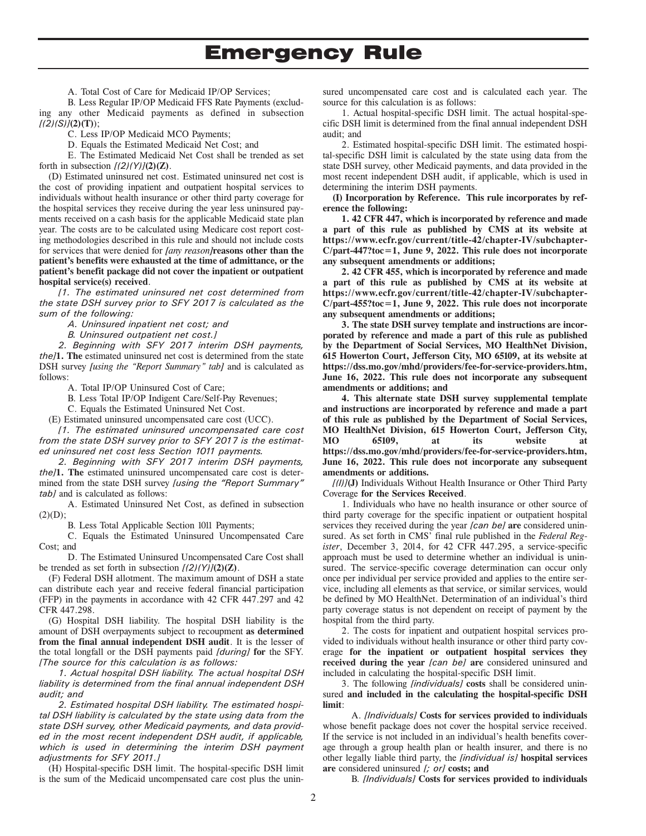A. Total Cost of Care for Medicaid IP/OP Services;

B. Less Regular IP/OP Medicaid FFS Rate Payments (excluding any other Medicaid payments as defined in subsection *[(2)(S)]***(2)(T)**);

C. Less IP/OP Medicaid MCO Payments;

D. Equals the Estimated Medicaid Net Cost; and

E. The Estimated Medicaid Net Cost shall be trended as set forth in subsection  $[(2)(Y)](2)(Z)$ .

(D) Estimated uninsured net cost. Estimated uninsured net cost is the cost of providing inpatient and outpatient hospital services to individuals without health insurance or other third party coverage for the hospital services they receive during the year less uninsured payments received on a cash basis for the applicable Medicaid state plan year. The costs are to be calculated using Medicare cost report costing methodologies described in this rule and should not include costs for services that were denied for *[any reason]***reasons other than the patient's benefits were exhausted at the time of admittance, or the patient's benefit package did not cover the inpatient or outpatient hospital service(s) received**.

*[1. The estimated uninsured net cost determined from the state DSH survey prior to SFY 2017 is calculated as the sum of the following:* 

*A. Uninsured inpatient net cost; and* 

*B. Uninsured outpatient net cost.]* 

*2. Beginning with SFY 2017 interim DSH payments, the]***1. The** estimated uninsured net cost is determined from the state DSH survey *[using the "Report Summary" tab]* and is calculated as follows:

A. Total IP/OP Uninsured Cost of Care;

B. Less Total IP/OP Indigent Care/Self-Pay Revenues;

C. Equals the Estimated Uninsured Net Cost.

(E) Estimated uninsured uncompensated care cost (UCC).

*[1. The estimated uninsured uncompensated care cost from the state DSH survey prior to SFY 2017 is the estimated uninsured net cost less Section 1011 payments.* 

*2. Beginning with SFY 2017 interim DSH payments, the]***1. The** estimated uninsured uncompensated care cost is determined from the state DSH survey *[using the "Report Summary" tab]* and is calculated as follows:

A. Estimated Uninsured Net Cost, as defined in subsection  $(2)(D);$ 

B. Less Total Applicable Section 1011 Payments;

C. Equals the Estimated Uninsured Uncompensated Care Cost; and

D. The Estimated Uninsured Uncompensated Care Cost shall be trended as set forth in subsection *[(2)(Y)]***(2)(Z)**.

(F) Federal DSH allotment. The maximum amount of DSH a state can distribute each year and receive federal financial participation (FFP) in the payments in accordance with 42 CFR 447.297 and 42 CFR 447.298.

(G) Hospital DSH liability. The hospital DSH liability is the amount of DSH overpayments subject to recoupment **as determined from the final annual independent DSH audit**. It is the lesser of the total longfall or the DSH payments paid *[during]* **for** the SFY. *[The source for this calculation is as follows:* 

*1. Actual hospital DSH liability. The actual hospital DSH liability is determined from the final annual independent DSH audit; and* 

*2. Estimated hospital DSH liability. The estimated hospital DSH liability is calculated by the state using data from the state DSH survey, other Medicaid payments, and data provided in the most recent independent DSH audit, if applicable, which is used in determining the interim DSH payment adjustments for SFY 2011.]*

(H) Hospital-specific DSH limit. The hospital-specific DSH limit is the sum of the Medicaid uncompensated care cost plus the uninsured uncompensated care cost and is calculated each year. The source for this calculation is as follows:

1. Actual hospital-specific DSH limit. The actual hospital-specific DSH limit is determined from the final annual independent DSH audit; and

2. Estimated hospital-specific DSH limit. The estimated hospital-specific DSH limit is calculated by the state using data from the state DSH survey, other Medicaid payments, and data provided in the most recent independent DSH audit, if applicable, which is used in determining the interim DSH payments.

**(I) Incorporation by Reference. This rule incorporates by reference the following:** 

**1. 42 CFR 447, which is incorporated by reference and made a part of this rule as published by CMS at its website at https://www.ecfr.gov/current/title-42/chapter-IV/subchapter-C/part-447?toc=1, June 9, 2022. This rule does not incorporate any subsequent amendments or additions;** 

**2. 42 CFR 455, which is incorporated by reference and made a part of this rule as published by CMS at its website at https://www.ecfr.gov/current/title-42/chapter-IV/subchapter-C/part-455?toc=1, June 9, 2022. This rule does not incorporate any subsequent amendments or additions;** 

**3. The state DSH survey template and instructions are incorporated by reference and made a part of this rule as published by the Department of Social Services, MO HealthNet Division, 615 Howerton Court, Jefferson City, MO 65109, at its website at https://dss.mo.gov/mhd/providers/fee-for-service-providers.htm, June 16, 2022. This rule does not incorporate any subsequent amendments or additions; and**

**4. This alternate state DSH survey supplemental template and instructions are incorporated by reference and made a part of this rule as published by the Department of Social Services, MO HealthNet Division, 615 Howerton Court, Jefferson City, MO 65109, at its website at https://dss.mo.gov/mhd/providers/fee-for-service-providers.htm, June 16, 2022. This rule does not incorporate any subsequent amendments or additions.**

*[(I)]***(J)** Individuals Without Health Insurance or Other Third Party Coverage **for the Services Received**.

1. Individuals who have no health insurance or other source of third party coverage for the specific inpatient or outpatient hospital services they received during the year *[can be]* **are** considered uninsured. As set forth in CMS' final rule published in the *Federal Register*, December 3, 2014, for 42 CFR 447.295, a service-specific approach must be used to determine whether an individual is uninsured. The service-specific coverage determination can occur only once per individual per service provided and applies to the entire service, including all elements as that service, or similar services, would be defined by MO HealthNet. Determination of an individual's third party coverage status is not dependent on receipt of payment by the hospital from the third party.

2. The costs for inpatient and outpatient hospital services provided to individuals without health insurance or other third party coverage **for the inpatient or outpatient hospital services they received during the year** *[can be]* **are** considered uninsured and included in calculating the hospital-specific DSH limit.

3. The following *[individuals]* **costs** shall be considered uninsured **and included in the calculating the hospital-specific DSH limit**:

A. *[Individuals]* **Costs for services provided to individuals**  whose benefit package does not cover the hospital service received. If the service is not included in an individual's health benefits coverage through a group health plan or health insurer, and there is no other legally liable third party, the *[individual is]* **hospital services are** considered uninsured *[; or]* **costs; and**

B. *[Individuals]* **Costs for services provided to individuals**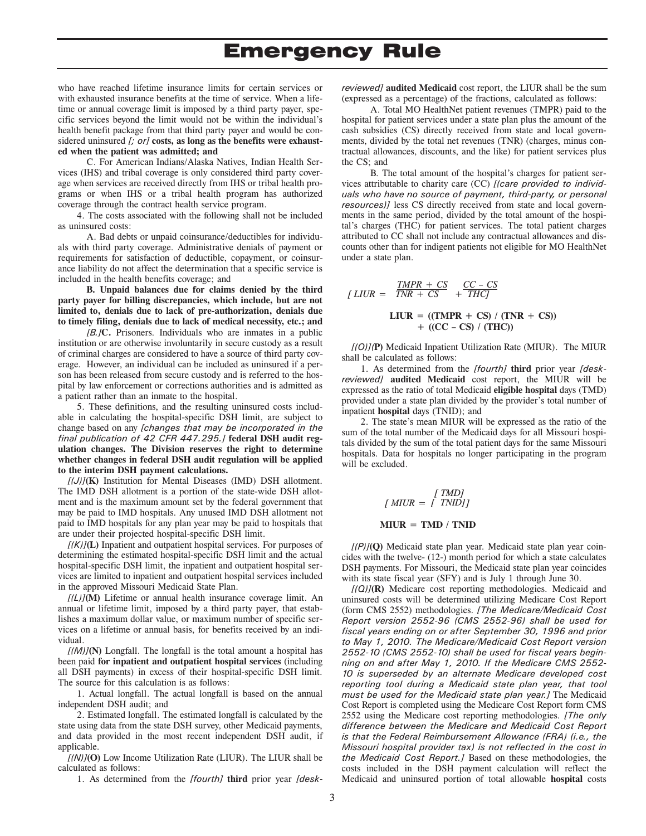who have reached lifetime insurance limits for certain services or with exhausted insurance benefits at the time of service. When a lifetime or annual coverage limit is imposed by a third party payer, specific services beyond the limit would not be within the individual's health benefit package from that third party payer and would be considered uninsured *[; or]* **costs, as long as the benefits were exhausted when the patient was admitted; and** 

C. For American Indians/Alaska Natives, Indian Health Services (IHS) and tribal coverage is only considered third party coverage when services are received directly from IHS or tribal health programs or when IHS or a tribal health program has authorized coverage through the contract health service program.

4. The costs associated with the following shall not be included as uninsured costs:

A. Bad debts or unpaid coinsurance/deductibles for individuals with third party coverage. Administrative denials of payment or requirements for satisfaction of deductible, copayment, or coinsurance liability do not affect the determination that a specific service is included in the health benefits coverage; and

**B. Unpaid balances due for claims denied by the third party payer for billing discrepancies, which include, but are not limited to, denials due to lack of pre-authorization, denials due to timely filing, denials due to lack of medical necessity, etc.; and** 

*[B.]***C.** Prisoners. Individuals who are inmates in a public institution or are otherwise involuntarily in secure custody as a result of criminal charges are considered to have a source of third party coverage. However, an individual can be included as uninsured if a person has been released from secure custody and is referred to the hospital by law enforcement or corrections authorities and is admitted as a patient rather than an inmate to the hospital.

5. These definitions, and the resulting uninsured costs includable in calculating the hospital-specific DSH limit, are subject to change based on any *[changes that may be incorporated in the final publication of 42 CFR 447.295.]* **federal DSH audit regulation changes. The Division reserves the right to determine whether changes in federal DSH audit regulation will be applied to the interim DSH payment calculations.**

*[(J)]***(K)** Institution for Mental Diseases (IMD) DSH allotment. The IMD DSH allotment is a portion of the state-wide DSH allotment and is the maximum amount set by the federal government that may be paid to IMD hospitals. Any unused IMD DSH allotment not paid to IMD hospitals for any plan year may be paid to hospitals that are under their projected hospital-specific DSH limit.

*[(K)]***(L)** Inpatient and outpatient hospital services. For purposes of determining the estimated hospital-specific DSH limit and the actual hospital-specific DSH limit, the inpatient and outpatient hospital services are limited to inpatient and outpatient hospital services included in the approved Missouri Medicaid State Plan.

*[(L)]***(M)** Lifetime or annual health insurance coverage limit. An annual or lifetime limit, imposed by a third party payer, that establishes a maximum dollar value, or maximum number of specific services on a lifetime or annual basis, for benefits received by an individual.

*[(M)]***(N)** Longfall. The longfall is the total amount a hospital has been paid **for inpatient and outpatient hospital services** (including all DSH payments) in excess of their hospital-specific DSH limit. The source for this calculation is as follows:

1. Actual longfall. The actual longfall is based on the annual independent DSH audit; and

2. Estimated longfall. The estimated longfall is calculated by the state using data from the state DSH survey, other Medicaid payments, and data provided in the most recent independent DSH audit, if applicable.

*[(N)]***(O)** Low Income Utilization Rate (LIUR). The LIUR shall be calculated as follows:

1. As determined from the *[fourth]* **third** prior year *[desk-*

*reviewed]* **audited Medicaid** cost report, the LIUR shall be the sum (expressed as a percentage) of the fractions, calculated as follows:

A. Total MO HealthNet patient revenues (TMPR) paid to the hospital for patient services under a state plan plus the amount of the cash subsidies (CS) directly received from state and local governments, divided by the total net revenues (TNR) (charges, minus contractual allowances, discounts, and the like) for patient services plus the CS; and

B. The total amount of the hospital's charges for patient services attributable to charity care (CC) *[(care provided to individuals who have no source of payment, third-party, or personal resources)]* less CS directly received from state and local governments in the same period, divided by the total amount of the hospital's charges (THC) for patient services. The total patient charges attributed to CC shall not include any contractual allowances and discounts other than for indigent patients not eligible for MO HealthNet under a state plan.

$$
[LIUR = \frac{TMPR + CS}{TNR + CS} + \frac{CC - CS}{THC}]
$$
  
\n
$$
LIUR = ((TMPR + CS) / (TNR + CS)) + ((CC - CS) / (THC))
$$

*[(O)](***P)** Medicaid Inpatient Utilization Rate (MIUR). The MIUR shall be calculated as follows:

1. As determined from the *[fourth]* **third** prior year *[deskreviewed]* **audited Medicaid** cost report, the MIUR will be expressed as the ratio of total Medicaid **eligible hospital** days (TMD) provided under a state plan divided by the provider's total number of inpatient **hospital** days (TNID); and

2. The state's mean MIUR will be expressed as the ratio of the sum of the total number of the Medicaid days for all Missouri hospitals divided by the sum of the total patient days for the same Missouri hospitals. Data for hospitals no longer participating in the program will be excluded.

$$
[MUV = [TMD]
$$

#### **MIUR = TMD / TNID**

*[(P)]***(Q)** Medicaid state plan year. Medicaid state plan year coincides with the twelve- (12-) month period for which a state calculates DSH payments. For Missouri, the Medicaid state plan year coincides with its state fiscal year (SFY) and is July 1 through June 30.

*[(Q)]***(R)** Medicare cost reporting methodologies. Medicaid and uninsured costs will be determined utilizing Medicare Cost Report (form CMS 2552) methodologies. *[The Medicare/Medicaid Cost Report version 2552-96 (CMS 2552-96) shall be used for fiscal years ending on or after September 30, 1996 and prior to May 1, 2010. The Medicare/Medicaid Cost Report version 2552-10 (CMS 2552-10) shall be used for fiscal years beginning on and after May 1, 2010. If the Medicare CMS 2552- 10 is superseded by an alternate Medicare developed cost reporting tool during a Medicaid state plan year, that tool must be used for the Medicaid state plan year.]* The Medicaid Cost Report is completed using the Medicare Cost Report form CMS 2552 using the Medicare cost reporting methodologies. *[The only difference between the Medicare and Medicaid Cost Report is that the Federal Reimbursement Allowance (FRA) (i.e., the Missouri hospital provider tax) is not reflected in the cost in the Medicaid Cost Report.]* Based on these methodologies, the costs included in the DSH payment calculation will reflect the Medicaid and uninsured portion of total allowable **hospital** costs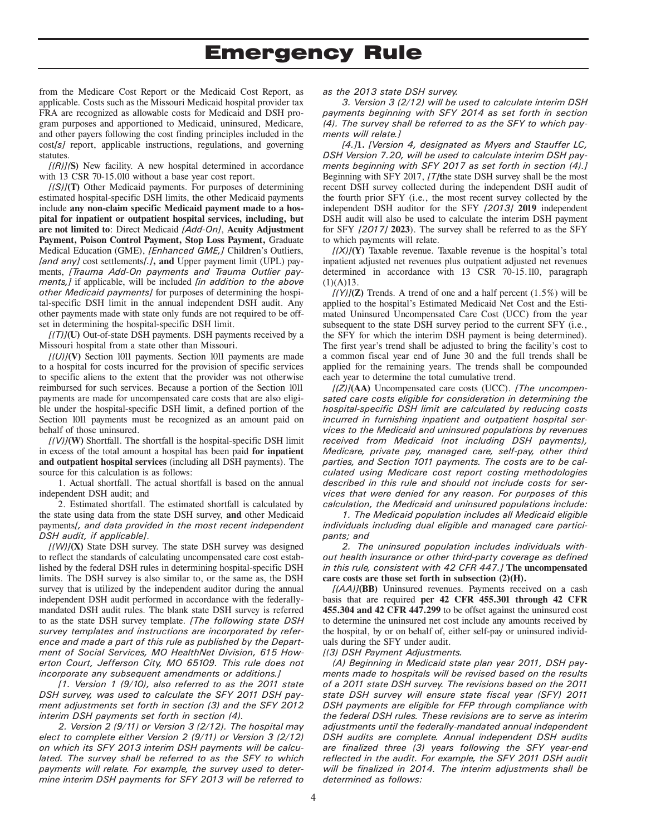from the Medicare Cost Report or the Medicaid Cost Report, as applicable. Costs such as the Missouri Medicaid hospital provider tax FRA are recognized as allowable costs for Medicaid and DSH program purposes and apportioned to Medicaid, uninsured, Medicare, and other payers following the cost finding principles included in the cost*[s]* report, applicable instructions, regulations, and governing statutes.

*[(R)](***S)** New facility. A new hospital determined in accordance with 13 CSR 70-15.010 without a base year cost report.

*[(S)]***(T)** Other Medicaid payments. For purposes of determining estimated hospital-specific DSH limits, the other Medicaid payments include **any non-claim specific Medicaid payment made to a hospital for inpatient or outpatient hospital services, including, but are not limited to**: Direct Medicaid *[Add-On]*, **Acuity Adjustment Payment, Poison Control Payment, Stop Loss Payment,** Graduate Medical Education (GME), *[Enhanced GME,]* Children's Outliers, *[and any]* cost settlements*[.]***, and** Upper payment limit (UPL) payments, *[Trauma Add-On payments and Trauma Outlier payments,]* if applicable, will be included *[in addition to the above other Medicaid payments]* for purposes of determining the hospital-specific DSH limit in the annual independent DSH audit. Any other payments made with state only funds are not required to be offset in determining the hospital-specific DSH limit.

*[(T)]***(U)** Out-of-state DSH payments. DSH payments received by a Missouri hospital from a state other than Missouri.

*[(U)]***(V)** Section 1011 payments. Section 1011 payments are made to a hospital for costs incurred for the provision of specific services to specific aliens to the extent that the provider was not otherwise reimbursed for such services. Because a portion of the Section 1011 payments are made for uncompensated care costs that are also eligible under the hospital-specific DSH limit, a defined portion of the Section 1011 payments must be recognized as an amount paid on behalf of those uninsured.

*[(V)]***(W)** Shortfall. The shortfall is the hospital-specific DSH limit in excess of the total amount a hospital has been paid **for inpatient and outpatient hospital services** (including all DSH payments). The source for this calculation is as follows:

1. Actual shortfall. The actual shortfall is based on the annual independent DSH audit; and

2. Estimated shortfall. The estimated shortfall is calculated by the state using data from the state DSH survey, **and** other Medicaid payments*[, and data provided in the most recent independent DSH audit, if applicable]*.

*[(W)]***(X)** State DSH survey. The state DSH survey was designed to reflect the standards of calculating uncompensated care cost established by the federal DSH rules in determining hospital-specific DSH limits. The DSH survey is also similar to, or the same as, the DSH survey that is utilized by the independent auditor during the annual independent DSH audit performed in accordance with the federallymandated DSH audit rules. The blank state DSH survey is referred to as the state DSH survey template. *[The following state DSH survey templates and instructions are incorporated by reference and made a part of this rule as published by the Department of Social Services, MO HealthNet Division, 615 Howerton Court, Jefferson City, MO 65109. This rule does not incorporate any subsequent amendments or additions.]* 

*[1. Version 1 (9/10), also referred to as the 2011 state DSH survey, was used to calculate the SFY 2011 DSH payment adjustments set forth in section (3) and the SFY 2012 interim DSH payments set forth in section (4).* 

*2. Version 2 (9/11) or Version 3 (2/12). The hospital may elect to complete either Version 2 (9/11) or Version 3 (2/12) on which its SFY 2013 interim DSH payments will be calculated. The survey shall be referred to as the SFY to which payments will relate. For example, the survey used to determine interim DSH payments for SFY 2013 will be referred to* 

#### *as the 2013 state DSH survey.*

*3. Version 3 (2/12) will be used to calculate interim DSH payments beginning with SFY 2014 as set forth in section (4). The survey shall be referred to as the SFY to which payments will relate.]*

*[4.]***1.** *[Version 4, designated as Myers and Stauffer LC, DSH Version 7.20, will be used to calculate interim DSH payments beginning with SFY 2017 as set forth in section (4).]* Beginning with SFY 2017, *[T]***t**he state DSH survey shall be the most recent DSH survey collected during the independent DSH audit of the fourth prior SFY (i.e., the most recent survey collected by the independent DSH auditor for the SFY *[2013]* **2019** independent DSH audit will also be used to calculate the interim DSH payment for SFY *[2017]* **2023**). The survey shall be referred to as the SFY to which payments will relate.

*[(X)]***(Y)** Taxable revenue. Taxable revenue is the hospital's total inpatient adjusted net revenues plus outpatient adjusted net revenues determined in accordance with 13 CSR 70-15.110, paragraph  $(1)(A)13.$ 

 $f(Y)/Z$  Trends. A trend of one and a half percent  $(1.5\%)$  will be applied to the hospital's Estimated Medicaid Net Cost and the Estimated Uninsured Uncompensated Care Cost (UCC) from the year subsequent to the state DSH survey period to the current SFY (i.e., the SFY for which the interim DSH payment is being determined). The first year's trend shall be adjusted to bring the facility's cost to a common fiscal year end of June 30 and the full trends shall be applied for the remaining years. The trends shall be compounded each year to determine the total cumulative trend.

*[(Z)]***(AA)** Uncompensated care costs (UCC). *[The uncompensated care costs eligible for consideration in determining the hospital-specific DSH limit are calculated by reducing costs incurred in furnishing inpatient and outpatient hospital services to the Medicaid and uninsured populations by revenues received from Medicaid (not including DSH payments), Medicare, private pay, managed care, self-pay, other third parties, and Section 1011 payments. The costs are to be calculated using Medicare cost report costing methodologies described in this rule and should not include costs for services that were denied for any reason. For purposes of this calculation, the Medicaid and uninsured populations include:* 

*1. The Medicaid population includes all Medicaid eligible individuals including dual eligible and managed care participants; and* 

*2. The uninsured population includes individuals without health insurance or other third-party coverage as defined in this rule, consistent with 42 CFR 447.]* **The uncompensated care costs are those set forth in subsection (2)(H).**

*[(AA)]***(BB)** Uninsured revenues. Payments received on a cash basis that are required **per 42 CFR 455.301 through 42 CFR 455.304 and 42 CFR 447.299** to be offset against the uninsured cost to determine the uninsured net cost include any amounts received by the hospital, by or on behalf of, either self-pay or uninsured individuals during the SFY under audit.

*[(3) DSH Payment Adjustments.* 

*(A) Beginning in Medicaid state plan year 2011, DSH payments made to hospitals will be revised based on the results of a 2011 state DSH survey. The revisions based on the 2011 state DSH survey will ensure state fiscal year (SFY) 2011 DSH payments are eligible for FFP through compliance with the federal DSH rules. These revisions are to serve as interim adjustments until the federally-mandated annual independent DSH audits are complete. Annual independent DSH audits are finalized three (3) years following the SFY year-end reflected in the audit. For example, the SFY 2011 DSH audit will be finalized in 2014. The interim adjustments shall be determined as follows:*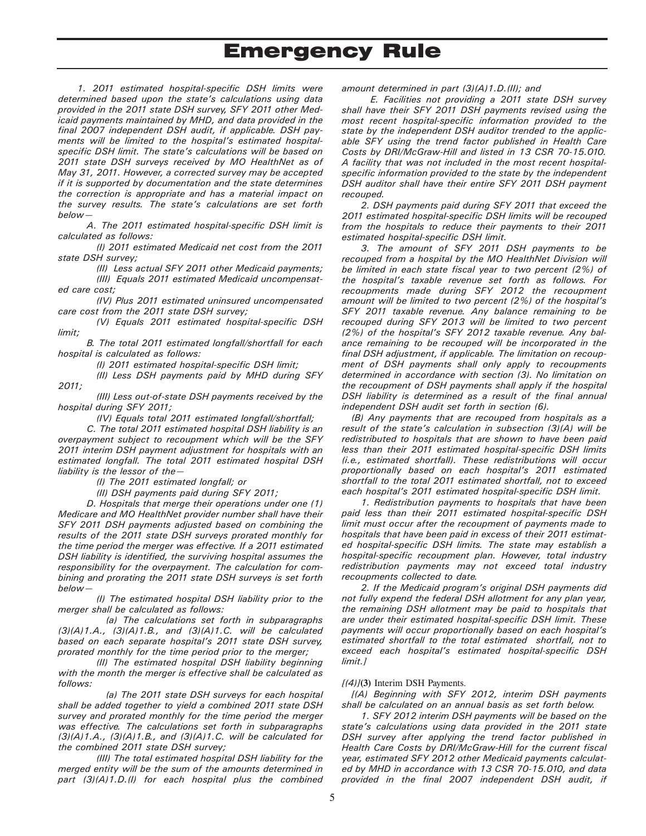*1. 2011 estimated hospital-specific DSH limits were determined based upon the state's calculations using data provided in the 2011 state DSH survey, SFY 2011 other Medicaid payments maintained by MHD, and data provided in the final 2007 independent DSH audit, if applicable. DSH payments will be limited to the hospital's estimated hospitalspecific DSH limit. The state's calculations will be based on 2011 state DSH surveys received by MO HealthNet as of May 31, 2011. However, a corrected survey may be accepted if it is supported by documentation and the state determines the correction is appropriate and has a material impact on the survey results. The state's calculations are set forth below—* 

*A. The 2011 estimated hospital-specific DSH limit is calculated as follows:* 

*(I) 2011 estimated Medicaid net cost from the 2011 state DSH survey;* 

*(II) Less actual SFY 2011 other Medicaid payments; (III) Equals 2011 estimated Medicaid uncompensated care cost;* 

*(IV) Plus 2011 estimated uninsured uncompensated care cost from the 2011 state DSH survey;* 

*(V) Equals 2011 estimated hospital-specific DSH limit;* 

*B. The total 2011 estimated longfall/shortfall for each hospital is calculated as follows:* 

*(I) 2011 estimated hospital-specific DSH limit;* 

*(II) Less DSH payments paid by MHD during SFY* 

*(III) Less out-of-state DSH payments received by the hospital during SFY 2011;* 

*(IV) Equals total 2011 estimated longfall/shortfall;* 

*C. The total 2011 estimated hospital DSH liability is an overpayment subject to recoupment which will be the SFY 2011 interim DSH payment adjustment for hospitals with an estimated longfall. The total 2011 estimated hospital DSH liability is the lessor of the—* 

*(I) The 2011 estimated longfall; or* 

*2011;* 

*(II) DSH payments paid during SFY 2011;* 

*D. Hospitals that merge their operations under one (1) Medicare and MO HealthNet provider number shall have their SFY 2011 DSH payments adjusted based on combining the results of the 2011 state DSH surveys prorated monthly for the time period the merger was effective. If a 2011 estimated DSH liability is identified, the surviving hospital assumes the responsibility for the overpayment. The calculation for combining and prorating the 2011 state DSH surveys is set forth below—* 

*(I) The estimated hospital DSH liability prior to the merger shall be calculated as follows:* 

*(a) The calculations set forth in subparagraphs (3)(A)1.A., (3)(A)1.B., and (3)(A)1.C. will be calculated based on each separate hospital's 2011 state DSH survey, prorated monthly for the time period prior to the merger;* 

*(II) The estimated hospital DSH liability beginning with the month the merger is effective shall be calculated as follows:* 

*(a) The 2011 state DSH surveys for each hospital shall be added together to yield a combined 2011 state DSH survey and prorated monthly for the time period the merger was effective. The calculations set forth in subparagraphs (3)(A)1.A., (3)(A)1.B., and (3)(A)1.C. will be calculated for the combined 2011 state DSH survey;* 

*(III) The total estimated hospital DSH liability for the merged entity will be the sum of the amounts determined in part (3)(A)1.D.(I) for each hospital plus the combined* 

#### *amount determined in part (3)(A)1.D.(II); and*

*E. Facilities not providing a 2011 state DSH survey shall have their SFY 2011 DSH payments revised using the most recent hospital-specific information provided to the state by the independent DSH auditor trended to the applicable SFY using the trend factor published in Health Care Costs by DRI/McGraw-Hill and listed in 13 CSR 70-15.010. A facility that was not included in the most recent hospitalspecific information provided to the state by the independent DSH auditor shall have their entire SFY 2011 DSH payment recouped.* 

*2. DSH payments paid during SFY 2011 that exceed the 2011 estimated hospital-specific DSH limits will be recouped from the hospitals to reduce their payments to their 2011 estimated hospital-specific DSH limit.* 

*3. The amount of SFY 2011 DSH payments to be recouped from a hospital by the MO HealthNet Division will be limited in each state fiscal year to two percent (2%) of the hospital's taxable revenue set forth as follows. For recoupments made during SFY 2012 the recoupment amount will be limited to two percent (2%) of the hospital's SFY 2011 taxable revenue. Any balance remaining to be recouped during SFY 2013 will be limited to two percent (2%) of the hospital's SFY 2012 taxable revenue. Any balance remaining to be recouped will be incorporated in the final DSH adjustment, if applicable. The limitation on recoupment of DSH payments shall only apply to recoupments determined in accordance with section (3). No limitation on the recoupment of DSH payments shall apply if the hospital DSH liability is determined as a result of the final annual independent DSH audit set forth in section (6).* 

*(B) Any payments that are recouped from hospitals as a result of the state's calculation in subsection (3)(A) will be redistributed to hospitals that are shown to have been paid less than their 2011 estimated hospital-specific DSH limits (i.e., estimated shortfall). These redistributions will occur proportionally based on each hospital's 2011 estimated shortfall to the total 2011 estimated shortfall, not to exceed each hospital's 2011 estimated hospital-specific DSH limit.* 

*1. Redistribution payments to hospitals that have been paid less than their 2011 estimated hospital-specific DSH limit must occur after the recoupment of payments made to hospitals that have been paid in excess of their 2011 estimated hospital-specific DSH limits. The state may establish a hospital-specific recoupment plan. However, total industry redistribution payments may not exceed total industry recoupments collected to date.* 

*2. If the Medicaid program's original DSH payments did not fully expend the federal DSH allotment for any plan year, the remaining DSH allotment may be paid to hospitals that are under their estimated hospital-specific DSH limit. These payments will occur proportionally based on each hospital's estimated shortfall to the total estimated shortfall, not to exceed each hospital's estimated hospital-specific DSH limit.]* 

#### *[(4)]***(3)** Interim DSH Payments.

*[(A) Beginning with SFY 2012, interim DSH payments shall be calculated on an annual basis as set forth below.* 

*1. SFY 2012 interim DSH payments will be based on the state's calculations using data provided in the 2011 state DSH survey after applying the trend factor published in Health Care Costs by DRI/McGraw-Hill for the current fiscal year, estimated SFY 2012 other Medicaid payments calculated by MHD in accordance with 13 CSR 70-15.010, and data provided in the final 2007 independent DSH audit, if*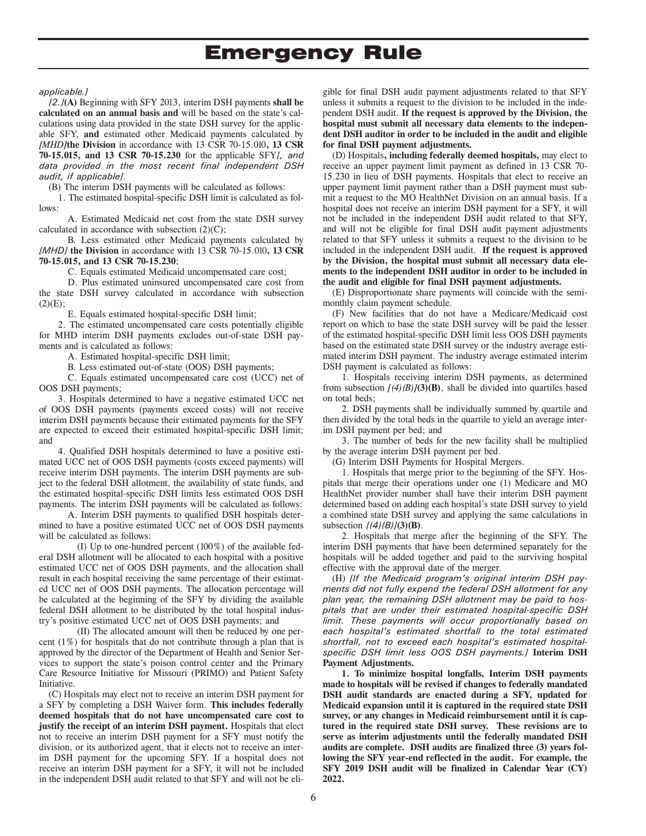*applicable.]* 

*[2.]***(A)** Beginning with SFY 2013, interim DSH payments **shall be calculated on an annual basis and** will be based on the state's calculations using data provided in the state DSH survey for the applicable SFY, **and** estimated other Medicaid payments calculated by *[MHD]***the Division** in accordance with 13 CSR 70-15.010**, 13 CSR 70-15.015, and 13 CSR 70-15.230** for the applicable SFY*[, and data provided in the most recent final independent DSH audit, if applicable]*.

(B) The interim DSH payments will be calculated as follows:

1. The estimated hospital-specific DSH limit is calculated as follows:

A. Estimated Medicaid net cost from the state DSH survey calculated in accordance with subsection  $(2)(C)$ ;

B. Less estimated other Medicaid payments calculated by *[MHD]* **the Division** in accordance with 13 CSR 70-15.010**, 13 CSR 70-15.015, and 13 CSR 70-15.230**;

C. Equals estimated Medicaid uncompensated care cost;

D. Plus estimated uninsured uncompensated care cost from the state DSH survey calculated in accordance with subsection  $(2)(E);$ 

E. Equals estimated hospital-specific DSH limit;

2. The estimated uncompensated care costs potentially eligible for MHD interim DSH payments excludes out-of-state DSH payments and is calculated as follows:

A. Estimated hospital-specific DSH limit;

B. Less estimated out-of-state (OOS) DSH payments;

C. Equals estimated uncompensated care cost (UCC) net of OOS DSH payments;

3. Hospitals determined to have a negative estimated UCC net of OOS DSH payments (payments exceed costs) will not receive interim DSH payments because their estimated payments for the SFY are expected to exceed their estimated hospital-specific DSH limit; and

4. Qualified DSH hospitals determined to have a positive estimated UCC net of OOS DSH payments (costs exceed payments) will receive interim DSH payments. The interim DSH payments are subject to the federal DSH allotment, the availability of state funds, and the estimated hospital-specific DSH limits less estimated OOS DSH payments. The interim DSH payments will be calculated as follows:

A. Interim DSH payments to qualified DSH hospitals determined to have a positive estimated UCC net of OOS DSH payments will be calculated as follows:

(I) Up to one-hundred percent (100%) of the available federal DSH allotment will be allocated to each hospital with a positive estimated UCC net of OOS DSH payments, and the allocation shall result in each hospital receiving the same percentage of their estimated UCC net of OOS DSH payments. The allocation percentage will be calculated at the beginning of the SFY by dividing the available federal DSH allotment to be distributed by the total hospital industry's positive estimated UCC net of OOS DSH payments; and

(II) The allocated amount will then be reduced by one percent  $(1%)$  for hospitals that do not contribute through a plan that is approved by the director of the Department of Health and Senior Services to support the state's poison control center and the Primary Care Resource Initiative for Missouri (PRIMO) and Patient Safety Initiative.

(C) Hospitals may elect not to receive an interim DSH payment for a SFY by completing a DSH Waiver form. **This includes federally deemed hospitals that do not have uncompensated care cost to justify the receipt of an interim DSH payment.** Hospitals that elect not to receive an interim DSH payment for a SFY must notify the division, or its authorized agent, that it elects not to receive an interim DSH payment for the upcoming SFY. If a hospital does not receive an interim DSH payment for a SFY, it will not be included in the independent DSH audit related to that SFY and will not be eligible for final DSH audit payment adjustments related to that SFY unless it submits a request to the division to be included in the independent DSH audit. **If the request is approved by the Division, the hospital must submit all necessary data elements to the independent DSH auditor in order to be included in the audit and eligible for final DSH payment adjustments.** 

(D) Hospitals**, including federally deemed hospitals,** may elect to receive an upper payment limit payment as defined in 13 CSR 70- 15.230 in lieu of DSH payments. Hospitals that elect to receive an upper payment limit payment rather than a DSH payment must submit a request to the MO HealthNet Division on an annual basis. If a hospital does not receive an interim DSH payment for a SFY, it will not be included in the independent DSH audit related to that SFY, and will not be eligible for final DSH audit payment adjustments related to that SFY unless it submits a request to the division to be included in the independent DSH audit. **If the request is approved by the Division, the hospital must submit all necessary data elements to the independent DSH auditor in order to be included in the audit and eligible for final DSH payment adjustments.**

(E) Disproportionate share payments will coincide with the semimonthly claim payment schedule.

(F) New facilities that do not have a Medicare/Medicaid cost report on which to base the state DSH survey will be paid the lesser of the estimated hospital-specific DSH limit less OOS DSH payments based on the estimated state DSH survey or the industry average estimated interim DSH payment. The industry average estimated interim DSH payment is calculated as follows:

1. Hospitals receiving interim DSH payments, as determined from subsection  $[(4)(B)]$ **(3)** $(B)$ , shall be divided into quartiles based on total beds;

2. DSH payments shall be individually summed by quartile and then divided by the total beds in the quartile to yield an average interim DSH payment per bed; and

3. The number of beds for the new facility shall be multiplied by the average interim DSH payment per bed.

(G) Interim DSH Payments for Hospital Mergers.

1. Hospitals that merge prior to the beginning of the SFY. Hospitals that merge their operations under one (1) Medicare and MO HealthNet provider number shall have their interim DSH payment determined based on adding each hospital's state DSH survey to yield a combined state DSH survey and applying the same calculations in subsection *[(4)(B)]***(3)(B)**.

2. Hospitals that merge after the beginning of the SFY. The interim DSH payments that have been determined separately for the hospitals will be added together and paid to the surviving hospital effective with the approval date of the merger.

(H) *[If the Medicaid program's original interim DSH payments did not fully expend the federal DSH allotment for any plan year, the remaining DSH allotment may be paid to hospitals that are under their estimated hospital-specific DSH limit. These payments will occur proportionally based on each hospital's estimated shortfall to the total estimated shortfall, not to exceed each hospital's estimated hospitalspecific DSH limit less OOS DSH payments.]* **Interim DSH Payment Adjustments.** 

**1. To minimize hospital longfalls, Interim DSH payments made to hospitals will be revised if changes to federally mandated DSH audit standards are enacted during a SFY, updated for Medicaid expansion until it is captured in the required state DSH survey, or any changes in Medicaid reimbursement until it is captured in the required state DSH survey. These revisions are to serve as interim adjustments until the federally mandated DSH audits are complete. DSH audits are finalized three (3) years following the SFY year-end reflected in the audit. For example, the SFY 2019 DSH audit will be finalized in Calendar Year (CY) 2022.**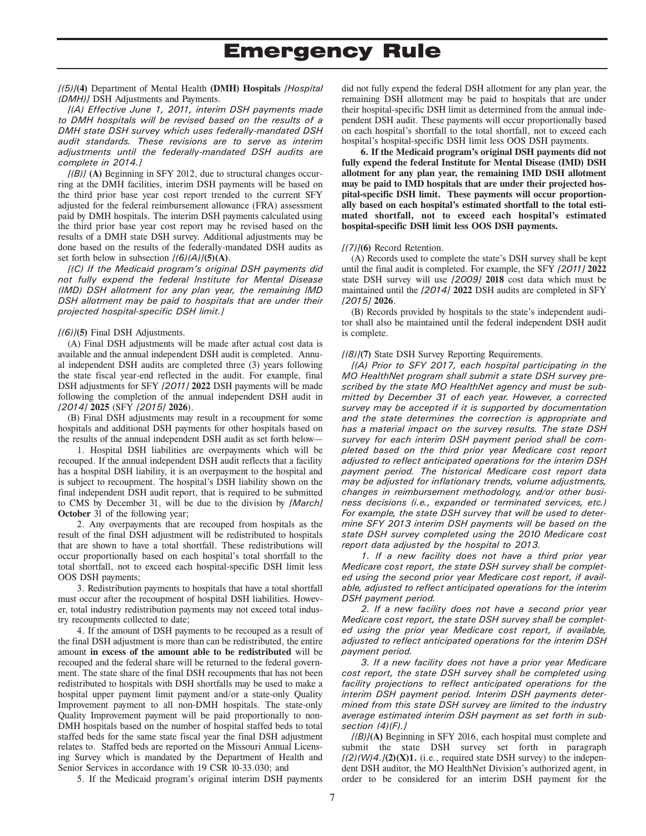#### *[(5)]***(4)** Department of Mental Health **(DMH) Hospitals** *[Hospital (DMH)]* DSH Adjustments and Payments.

*[(A) Effective June 1, 2011, interim DSH payments made to DMH hospitals will be revised based on the results of a DMH state DSH survey which uses federally-mandated DSH audit standards. These revisions are to serve as interim adjustments until the federally-mandated DSH audits are complete in 2014.]* 

*[(B)]* **(A)** Beginning in SFY 2012, due to structural changes occurring at the DMH facilities, interim DSH payments will be based on the third prior base year cost report trended to the current SFY adjusted for the federal reimbursement allowance (FRA) assessment paid by DMH hospitals. The interim DSH payments calculated using the third prior base year cost report may be revised based on the results of a DMH state DSH survey. Additional adjustments may be done based on the results of the federally-mandated DSH audits as set forth below in subsection  $[(6)(A)](5)(A)$ .

*[(C) If the Medicaid program's original DSH payments did not fully expend the federal Institute for Mental Disease (IMD) DSH allotment for any plan year, the remaining IMD DSH allotment may be paid to hospitals that are under their projected hospital-specific DSH limit.]* 

#### *[(6)]***(5)** Final DSH Adjustments.

(A) Final DSH adjustments will be made after actual cost data is available and the annual independent DSH audit is completed. Annual independent DSH audits are completed three (3) years following the state fiscal year-end reflected in the audit. For example, final DSH adjustments for SFY *[2011]* **2022** DSH payments will be made following the completion of the annual independent DSH audit in *[2014]* **2025** (SFY *[2015]* **2026**).

(B) Final DSH adjustments may result in a recoupment for some hospitals and additional DSH payments for other hospitals based on the results of the annual independent DSH audit as set forth below—

1. Hospital DSH liabilities are overpayments which will be recouped. If the annual independent DSH audit reflects that a facility has a hospital DSH liability, it is an overpayment to the hospital and is subject to recoupment. The hospital's DSH liability shown on the final independent DSH audit report, that is required to be submitted to CMS by December 31, will be due to the division by *[March]*  **October** 31 of the following year;

2. Any overpayments that are recouped from hospitals as the result of the final DSH adjustment will be redistributed to hospitals that are shown to have a total shortfall. These redistributions will occur proportionally based on each hospital's total shortfall to the total shortfall, not to exceed each hospital-specific DSH limit less OOS DSH payments;

3. Redistribution payments to hospitals that have a total shortfall must occur after the recoupment of hospital DSH liabilities. However, total industry redistribution payments may not exceed total industry recoupments collected to date;

4. If the amount of DSH payments to be recouped as a result of the final DSH adjustment is more than can be redistributed, the entire amount **in excess of the amount able to be redistributed** will be recouped and the federal share will be returned to the federal government. The state share of the final DSH recoupments that has not been redistributed to hospitals with DSH shortfalls may be used to make a hospital upper payment limit payment and/or a state-only Quality Improvement payment to all non-DMH hospitals. The state-only Quality Improvement payment will be paid proportionally to non-DMH hospitals based on the number of hospital staffed beds to total staffed beds for the same state fiscal year the final DSH adjustment relates to. Staffed beds are reported on the Missouri Annual Licensing Survey which is mandated by the Department of Health and Senior Services in accordance with 19 CSR 10-33.030; and

5. If the Medicaid program's original interim DSH payments

did not fully expend the federal DSH allotment for any plan year, the remaining DSH allotment may be paid to hospitals that are under their hospital-specific DSH limit as determined from the annual independent DSH audit. These payments will occur proportionally based on each hospital's shortfall to the total shortfall, not to exceed each hospital's hospital-specific DSH limit less OOS DSH payments.

**6. If the Medicaid program's original DSH payments did not fully expend the federal Institute for Mental Disease (IMD) DSH allotment for any plan year, the remaining IMD DSH allotment may be paid to IMD hospitals that are under their projected hospital-specific DSH limit. These payments will occur proportionally based on each hospital's estimated shortfall to the total estimated shortfall, not to exceed each hospital's estimated hospital-specific DSH limit less OOS DSH payments.** 

#### *[(7)]***(6)** Record Retention.

(A) Records used to complete the state's DSH survey shall be kept until the final audit is completed. For example, the SFY *[2011]* **2022** state DSH survey will use *[2009]* **2018** cost data which must be maintained until the *[2014]* **2022** DSH audits are completed in SFY *[2015]* **2026**.

(B) Records provided by hospitals to the state's independent auditor shall also be maintained until the federal independent DSH audit is complete.

#### *[(8)]***(7)** State DSH Survey Reporting Requirements.

*[(A) Prior to SFY 2017, each hospital participating in the MO HealthNet program shall submit a state DSH survey prescribed by the state MO HealthNet agency and must be submitted by December 31 of each year. However, a corrected survey may be accepted if it is supported by documentation and the state determines the correction is appropriate and has a material impact on the survey results. The state DSH survey for each interim DSH payment period shall be completed based on the third prior year Medicare cost report adjusted to reflect anticipated operations for the interim DSH payment period. The historical Medicare cost report data may be adjusted for inflationary trends, volume adjustments, changes in reimbursement methodology, and/or other business decisions (i.e., expanded or terminated services, etc.) For example, the state DSH survey that will be used to determine SFY 2013 interim DSH payments will be based on the state DSH survey completed using the 2010 Medicare cost report data adjusted by the hospital to 2013.* 

*1. If a new facility does not have a third prior year Medicare cost report, the state DSH survey shall be completed using the second prior year Medicare cost report, if available, adjusted to reflect anticipated operations for the interim DSH payment period.* 

*2. If a new facility does not have a second prior year Medicare cost report, the state DSH survey shall be completed using the prior year Medicare cost report, if available, adjusted to reflect anticipated operations for the interim DSH payment period.* 

*3. If a new facility does not have a prior year Medicare cost report, the state DSH survey shall be completed using facility projections to reflect anticipated operations for the interim DSH payment period. Interim DSH payments determined from this state DSH survey are limited to the industry average estimated interim DSH payment as set forth in subsection (4)(F).]*

*[(B)]***(A)** Beginning in SFY 2016, each hospital must complete and submit the state DSH survey set forth in paragraph  $[(2)(W)4.](2)(X)1$ , (i.e., required state DSH survey) to the independent DSH auditor, the MO HealthNet Division's authorized agent, in order to be considered for an interim DSH payment for the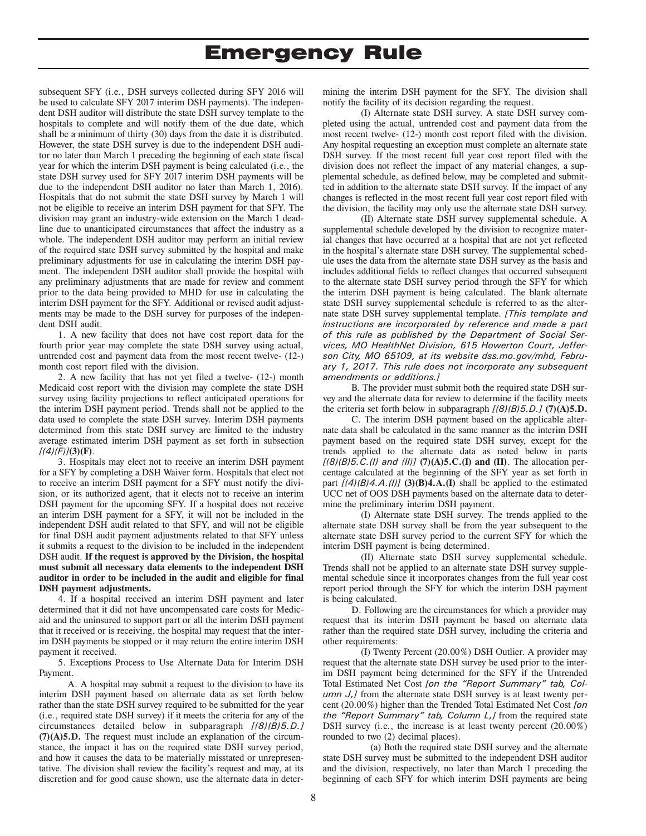subsequent SFY (i.e., DSH surveys collected during SFY 2016 will be used to calculate SFY 2017 interim DSH payments). The independent DSH auditor will distribute the state DSH survey template to the hospitals to complete and will notify them of the due date, which shall be a minimum of thirty (30) days from the date it is distributed. However, the state DSH survey is due to the independent DSH auditor no later than March 1 preceding the beginning of each state fiscal year for which the interim DSH payment is being calculated (i.e., the state DSH survey used for SFY 2017 interim DSH payments will be due to the independent DSH auditor no later than March 1, 2016). Hospitals that do not submit the state DSH survey by March 1 will not be eligible to receive an interim DSH payment for that SFY. The division may grant an industry-wide extension on the March 1 deadline due to unanticipated circumstances that affect the industry as a whole. The independent DSH auditor may perform an initial review of the required state DSH survey submitted by the hospital and make preliminary adjustments for use in calculating the interim DSH payment. The independent DSH auditor shall provide the hospital with any preliminary adjustments that are made for review and comment prior to the data being provided to MHD for use in calculating the interim DSH payment for the SFY. Additional or revised audit adjustments may be made to the DSH survey for purposes of the independent DSH audit.

1. A new facility that does not have cost report data for the fourth prior year may complete the state DSH survey using actual, untrended cost and payment data from the most recent twelve- (12-) month cost report filed with the division.

2. A new facility that has not yet filed a twelve- (12-) month Medicaid cost report with the division may complete the state DSH survey using facility projections to reflect anticipated operations for the interim DSH payment period. Trends shall not be applied to the data used to complete the state DSH survey. Interim DSH payments determined from this state DSH survey are limited to the industry average estimated interim DSH payment as set forth in subsection *[(4)(F)]***(3)(F)**.

3. Hospitals may elect not to receive an interim DSH payment for a SFY by completing a DSH Waiver form. Hospitals that elect not to receive an interim DSH payment for a SFY must notify the division, or its authorized agent, that it elects not to receive an interim DSH payment for the upcoming SFY. If a hospital does not receive an interim DSH payment for a SFY, it will not be included in the independent DSH audit related to that SFY, and will not be eligible for final DSH audit payment adjustments related to that SFY unless it submits a request to the division to be included in the independent DSH audit. **If the request is approved by the Division, the hospital must submit all necessary data elements to the independent DSH auditor in order to be included in the audit and eligible for final DSH payment adjustments.**

4. If a hospital received an interim DSH payment and later determined that it did not have uncompensated care costs for Medicaid and the uninsured to support part or all the interim DSH payment that it received or is receiving, the hospital may request that the interim DSH payments be stopped or it may return the entire interim DSH payment it received.

5. Exceptions Process to Use Alternate Data for Interim DSH Payment.

A. A hospital may submit a request to the division to have its interim DSH payment based on alternate data as set forth below rather than the state DSH survey required to be submitted for the year (i.e., required state DSH survey) if it meets the criteria for any of the circumstances detailed below in subparagraph *[(8)(B)5.D.]*  **(7)(A)5.D.** The request must include an explanation of the circumstance, the impact it has on the required state DSH survey period, and how it causes the data to be materially misstated or unrepresentative. The division shall review the facility's request and may, at its discretion and for good cause shown, use the alternate data in determining the interim DSH payment for the SFY. The division shall notify the facility of its decision regarding the request.

(I) Alternate state DSH survey. A state DSH survey completed using the actual, untrended cost and payment data from the most recent twelve- (12-) month cost report filed with the division. Any hospital requesting an exception must complete an alternate state DSH survey. If the most recent full year cost report filed with the division does not reflect the impact of any material changes, a supplemental schedule, as defined below, may be completed and submitted in addition to the alternate state DSH survey. If the impact of any changes is reflected in the most recent full year cost report filed with the division, the facility may only use the alternate state DSH survey.

(II) Alternate state DSH survey supplemental schedule. A supplemental schedule developed by the division to recognize material changes that have occurred at a hospital that are not yet reflected in the hospital's alternate state DSH survey. The supplemental schedule uses the data from the alternate state DSH survey as the basis and includes additional fields to reflect changes that occurred subsequent to the alternate state DSH survey period through the SFY for which the interim DSH payment is being calculated. The blank alternate state DSH survey supplemental schedule is referred to as the alternate state DSH survey supplemental template. *[This template and instructions are incorporated by reference and made a part of this rule as published by the Department of Social Services, MO HealthNet Division, 615 Howerton Court, Jefferson City, MO 65109, at its website dss.mo.gov/mhd, February 1, 2017. This rule does not incorporate any subsequent amendments or additions.]* 

B. The provider must submit both the required state DSH survey and the alternate data for review to determine if the facility meets the criteria set forth below in subparagraph *[(8)(B)5.D.]* **(7)(A)5.D.**

C. The interim DSH payment based on the applicable alternate data shall be calculated in the same manner as the interim DSH payment based on the required state DSH survey, except for the trends applied to the alternate data as noted below in parts *[(8)(B)5.C.(I) and (II)]* **(7)(A)5.C.(I) and (II)**. The allocation percentage calculated at the beginning of the SFY year as set forth in part *[(4)(B)4.A.(I)]* **(3)(B)4.A.(I)** shall be applied to the estimated UCC net of OOS DSH payments based on the alternate data to determine the preliminary interim DSH payment.

(I) Alternate state DSH survey. The trends applied to the alternate state DSH survey shall be from the year subsequent to the alternate state DSH survey period to the current SFY for which the interim DSH payment is being determined.

(II) Alternate state DSH survey supplemental schedule. Trends shall not be applied to an alternate state DSH survey supplemental schedule since it incorporates changes from the full year cost report period through the SFY for which the interim DSH payment is being calculated.

D. Following are the circumstances for which a provider may request that its interim DSH payment be based on alternate data rather than the required state DSH survey, including the criteria and other requirements:

(I) Twenty Percent (20.00%) DSH Outlier. A provider may request that the alternate state DSH survey be used prior to the interim DSH payment being determined for the SFY if the Untrended Total Estimated Net Cost *[on the "Report Summary" tab, Column J,]* from the alternate state DSH survey is at least twenty percent (20.00%) higher than the Trended Total Estimated Net Cost *[on the "Report Summary" tab, Column L,]* from the required state DSH survey (i.e., the increase is at least twenty percent  $(20.00\%)$ rounded to two (2) decimal places).

(a) Both the required state DSH survey and the alternate state DSH survey must be submitted to the independent DSH auditor and the division, respectively, no later than March 1 preceding the beginning of each SFY for which interim DSH payments are being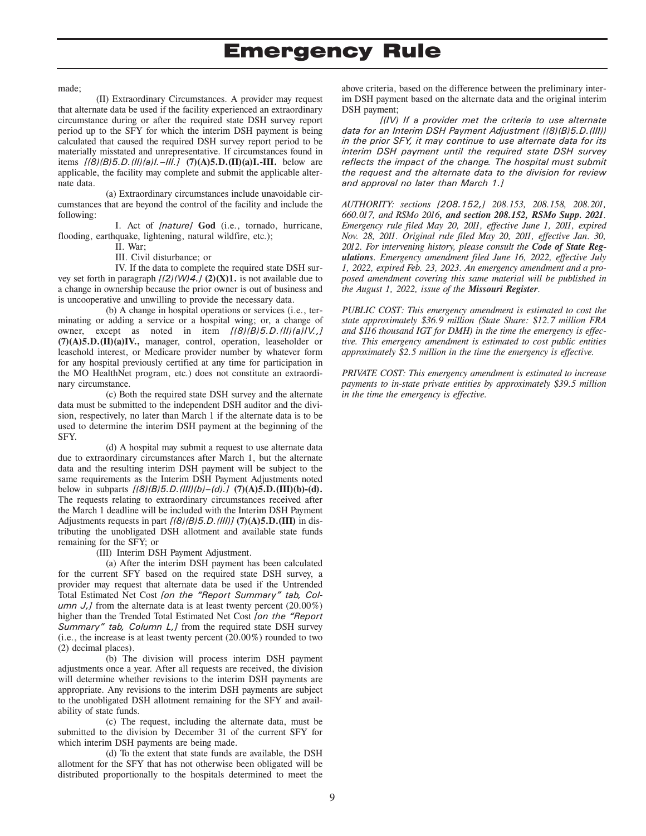made;

(II) Extraordinary Circumstances. A provider may request that alternate data be used if the facility experienced an extraordinary circumstance during or after the required state DSH survey report period up to the SFY for which the interim DSH payment is being calculated that caused the required DSH survey report period to be materially misstated and unrepresentative. If circumstances found in items *[(8)(B)5.D.(II)(a)I.–III.]* **(7)(A)5.D.(II)(a)I.-III.** below are applicable, the facility may complete and submit the applicable alternate data.

(a) Extraordinary circumstances include unavoidable circumstances that are beyond the control of the facility and include the following:

I. Act of *[nature]* **God** (i.e., tornado, hurricane, flooding, earthquake, lightening, natural wildfire, etc.);

II. War;

III. Civil disturbance; or

IV. If the data to complete the required state DSH survey set forth in paragraph  $[(2)(W)/4]$ .  $[2)(X)$ 1. is not available due to a change in ownership because the prior owner is out of business and is uncooperative and unwilling to provide the necessary data.

(b) A change in hospital operations or services (i.e., terminating or adding a service or a hospital wing; or, a change of owner, except as noted in item *[(8)(B)5.D.(II)(a)IV.,]*  **(7)(A)5.D.(II)(a)IV.,** manager, control, operation, leaseholder or leasehold interest, or Medicare provider number by whatever form for any hospital previously certified at any time for participation in the MO HealthNet program, etc.) does not constitute an extraordinary circumstance.

(c) Both the required state DSH survey and the alternate data must be submitted to the independent DSH auditor and the division, respectively, no later than March 1 if the alternate data is to be used to determine the interim DSH payment at the beginning of the SFY.

(d) A hospital may submit a request to use alternate data due to extraordinary circumstances after March 1, but the alternate data and the resulting interim DSH payment will be subject to the same requirements as the Interim DSH Payment Adjustments noted below in subparts *[(8)(B)5.D.(III)(b)–(d).]* **(7)(A)5.D.(III)(b)-(d).** The requests relating to extraordinary circumstances received after the March 1 deadline will be included with the Interim DSH Payment Adjustments requests in part *[(8)(B)5.D.(III)]* **(7)(A)5.D.(III)** in distributing the unobligated DSH allotment and available state funds remaining for the SFY; or

(III) Interim DSH Payment Adjustment.

(a) After the interim DSH payment has been calculated for the current SFY based on the required state DSH survey, a provider may request that alternate data be used if the Untrended Total Estimated Net Cost *[on the "Report Summary" tab, Column J,J* from the alternate data is at least twenty percent (20.00%) higher than the Trended Total Estimated Net Cost *[on the "Report Summary" tab, Column L,]* from the required state DSH survey (i.e., the increase is at least twenty percent (20.00%) rounded to two (2) decimal places).

(b) The division will process interim DSH payment adjustments once a year. After all requests are received, the division will determine whether revisions to the interim DSH payments are appropriate. Any revisions to the interim DSH payments are subject to the unobligated DSH allotment remaining for the SFY and availability of state funds.

(c) The request, including the alternate data, must be submitted to the division by December 31 of the current SFY for which interim DSH payments are being made.

(d) To the extent that state funds are available, the DSH allotment for the SFY that has not otherwise been obligated will be distributed proportionally to the hospitals determined to meet the

above criteria, based on the difference between the preliminary interim DSH payment based on the alternate data and the original interim DSH payment;

*[(IV) If a provider met the criteria to use alternate data for an Interim DSH Payment Adjustment ((8)(B)5.D.(III)) in the prior SFY, it may continue to use alternate data for its interim DSH payment until the required state DSH survey reflects the impact of the change. The hospital must submit the request and the alternate data to the division for review and approval no later than March 1.]* 

*AUTHORITY: sections [208.152,] 208.153, 208.158, 208.201, 660.017, and RSMo 2016, and section 208.152, RSMo Supp. 2021. Emergency rule filed May 20, 2011, effective June 1, 2011, expired Nov. 28, 2011. Original rule filed May 20, 2011, effective Jan. 30, 2012. For intervening history, please consult the Code of State Regulations. Emergency amendment filed June 16, 2022, effective July 1, 2022, expired Feb. 23, 2023. An emergency amendment and a proposed amendment covering this same material will be published in the August 1, 2022, issue of the Missouri Register.* 

*PUBLIC COST: This emergency amendment is estimated to cost the state approximately \$36.9 million (State Share: \$12.7 million FRA and \$116 thousand IGT for DMH) in the time the emergency is effective. This emergency amendment is estimated to cost public entities approximately \$2.5 million in the time the emergency is effective.* 

*PRIVATE COST: This emergency amendment is estimated to increase payments to in-state private entities by approximately \$39.5 million in the time the emergency is effective.*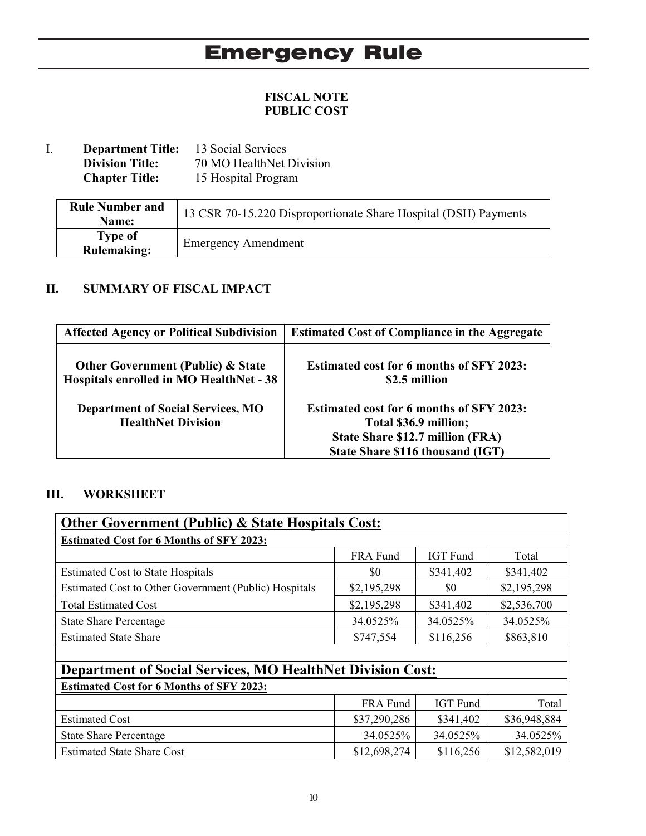## **FISCAL NOTE PUBLIC COST**

I. **Department Title:** 13 Social Services<br>Division Title: 70 MO HealthNet **Division Title:** 70 MO HealthNet Division<br>**Chapter Title:** 15 Hospital Program 15 Hospital Program

| <b>Rule Number and</b><br>Name:      | 13 CSR 70-15.220 Disproportionate Share Hospital (DSH) Payments |
|--------------------------------------|-----------------------------------------------------------------|
| <b>Type of</b><br><b>Rulemaking:</b> | <b>Emergency Amendment</b>                                      |

## **II. SUMMARY OF FISCAL IMPACT**

| <b>Affected Agency or Political Subdivision</b>                                         | <b>Estimated Cost of Compliance in the Aggregate</b>                                                                                             |
|-----------------------------------------------------------------------------------------|--------------------------------------------------------------------------------------------------------------------------------------------------|
| <b>Other Government (Public) &amp; State</b><br>Hospitals enrolled in MO HealthNet - 38 | <b>Estimated cost for 6 months of SFY 2023:</b><br>\$2.5 million                                                                                 |
| <b>Department of Social Services, MO</b><br><b>HealthNet Division</b>                   | <b>Estimated cost for 6 months of SFY 2023:</b><br>Total \$36.9 million;<br>State Share \$12.7 million (FRA)<br>State Share \$116 thousand (IGT) |

## **III. WORKSHEET**

| <b>Other Government (Public) &amp; State Hospitals Cost:</b>      |              |                 |              |  |  |  |
|-------------------------------------------------------------------|--------------|-----------------|--------------|--|--|--|
| <b>Estimated Cost for 6 Months of SFY 2023:</b>                   |              |                 |              |  |  |  |
|                                                                   | FRA Fund     | <b>IGT</b> Fund | Total        |  |  |  |
| <b>Estimated Cost to State Hospitals</b>                          | \$0          | \$341,402       | \$341,402    |  |  |  |
| Estimated Cost to Other Government (Public) Hospitals             | \$2,195,298  | \$0             | \$2,195,298  |  |  |  |
| <b>Total Estimated Cost</b>                                       | \$2,195,298  | \$341,402       | \$2,536,700  |  |  |  |
| <b>State Share Percentage</b>                                     | 34.0525%     | 34.0525%        | 34.0525%     |  |  |  |
| <b>Estimated State Share</b>                                      | \$747,554    | \$116,256       | \$863,810    |  |  |  |
|                                                                   |              |                 |              |  |  |  |
| <b>Department of Social Services, MO HealthNet Division Cost:</b> |              |                 |              |  |  |  |
| <b>Estimated Cost for 6 Months of SFY 2023:</b>                   |              |                 |              |  |  |  |
|                                                                   | FRA Fund     | <b>IGT</b> Fund | Total        |  |  |  |
| <b>Estimated Cost</b>                                             | \$37,290,286 | \$341,402       | \$36,948,884 |  |  |  |
| <b>State Share Percentage</b>                                     | 34.0525%     | 34.0525%        | 34.0525%     |  |  |  |
| <b>Estimated State Share Cost</b>                                 | \$12,698,274 | \$116,256       | \$12,582,019 |  |  |  |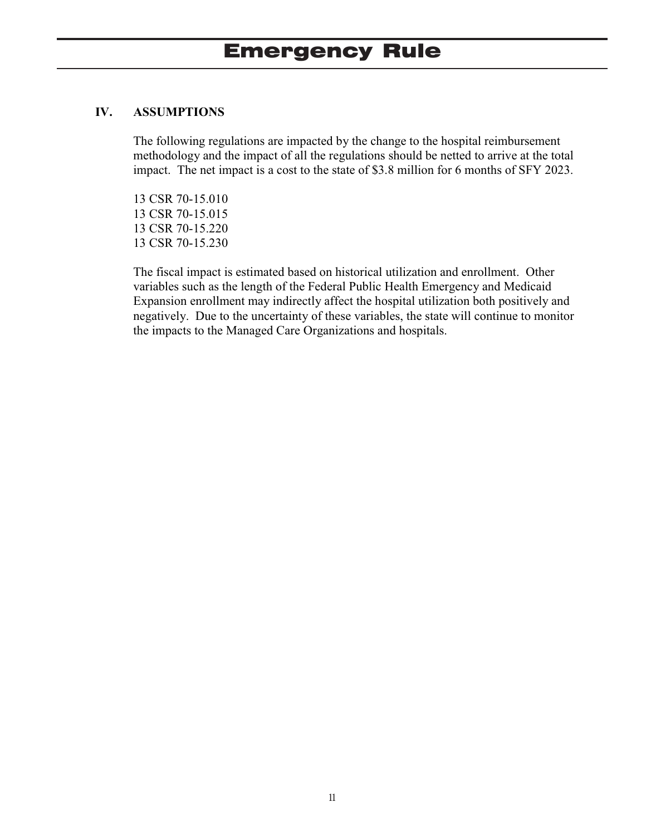## **IV. ASSUMPTIONS**

The following regulations are impacted by the change to the hospital reimbursement methodology and the impact of all the regulations should be netted to arrive at the total impact. The net impact is a cost to the state of \$3.8 million for 6 months of SFY 2023.

13 CSR 70-15.010 13 CSR 70-15.015 13 CSR 70-15.220 13 CSR 70-15.230

The fiscal impact is estimated based on historical utilization and enrollment. Other variables such as the length of the Federal Public Health Emergency and Medicaid Expansion enrollment may indirectly affect the hospital utilization both positively and negatively. Due to the uncertainty of these variables, the state will continue to monitor the impacts to the Managed Care Organizations and hospitals.